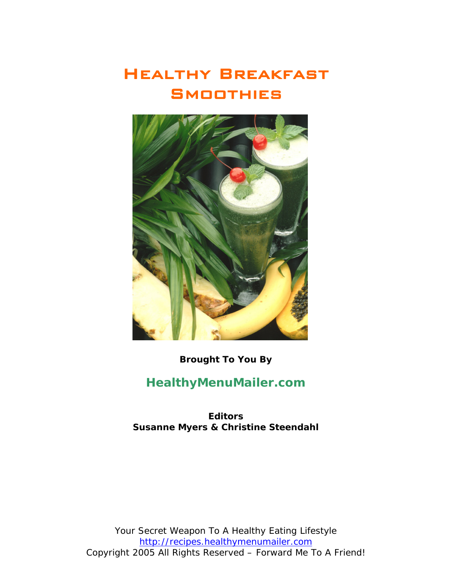# Healthy Breakfast **SMOOTHIES**



**Brought To You By** 

## **[HealthyMenuMailer.com](http://recipes.healthymenumailer.com)**

**Editors Susanne Myers & Christine Steendahl**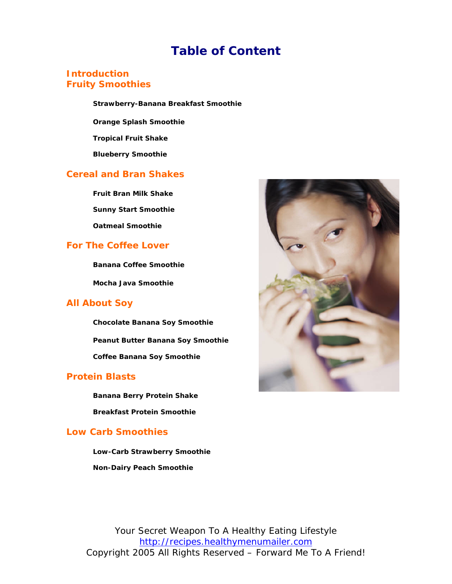## **Table of Content**

### **Introduction Fruity Smoothies**

**Strawberry-Banana Breakfast Smoothie**

**Orange Splash Smoothie** 

**Tropical Fruit Shake** 

**Blueberry Smoothie** 

### **Cereal and Bran Shakes**

**Fruit Bran Milk Shake Sunny Start Smoothie Oatmeal Smoothie**

### **For The Coffee Lover**

**Banana Coffee Smoothie** 

**Mocha Java Smoothie** 

### **All About Soy**

**Chocolate Banana Soy Smoothie Peanut Butter Banana Soy Smoothie Coffee Banana Soy Smoothie**

### **Protein Blasts**

**Banana Berry Protein Shake Breakfast Protein Smoothie**

### **Low Carb Smoothies**

**Low-Carb Strawberry Smoothie Non-Dairy Peach Smoothie**

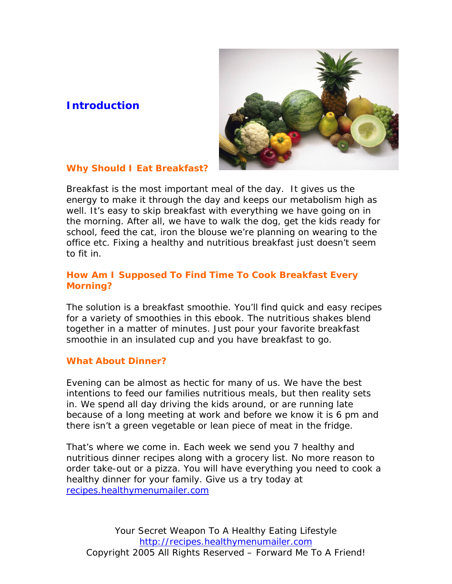## **Introduction**



## **Why Should I Eat Breakfast?**

Breakfast is the most important meal of the day. It gives us the energy to make it through the day and keeps our metabolism high as well. It's easy to skip breakfast with everything we have going on in the morning. After all, we have to walk the dog, get the kids ready for school, feed the cat, iron the blouse we're planning on wearing to the office etc. Fixing a healthy and nutritious breakfast just doesn't seem to fit in.

## **How Am I Supposed To Find Time To Cook Breakfast Every Morning?**

The solution is a breakfast smoothie. You'll find quick and easy recipes for a variety of smoothies in this ebook. The nutritious shakes blend together in a matter of minutes. Just pour your favorite breakfast smoothie in an insulated cup and you have breakfast to go.

### **What About Dinner?**

Evening can be almost as hectic for many of us. We have the best intentions to feed our families nutritious meals, but then reality sets in. We spend all day driving the kids around, or are running late because of a long meeting at work and before we know it is 6 pm and there isn't a green vegetable or lean piece of meat in the fridge.

That's where we come in. Each week we send you 7 healthy and nutritious dinner recipes along with a grocery list. No more reason to order take-out or a pizza. You will have everything you need to cook a healthy dinner for your family. Give us a try today at [recipes.healthymenumailer.com](http://recipes.healthymenumailer.com)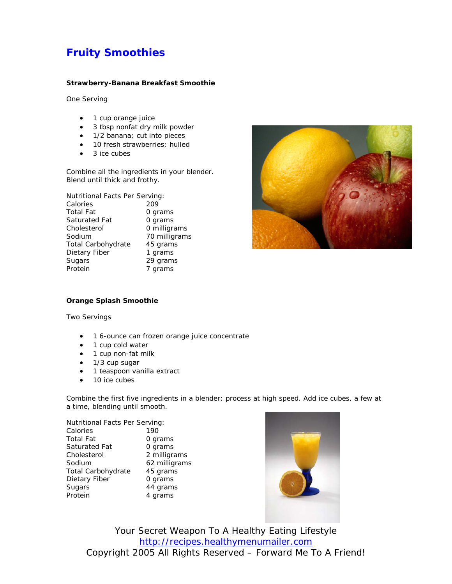## **Fruity Smoothies**

#### **Strawberry-Banana Breakfast Smoothie**

One Serving

- 1 cup orange juice
- 3 tbsp nonfat dry milk powder
- 1/2 banana; cut into pieces
- 10 fresh strawberries; hulled
- 3 ice cubes

Combine all the ingredients in your blender. Blend until thick and frothy.

Nutritional Facts Per Serving:

| Calories           | 209           |  |
|--------------------|---------------|--|
| <b>Total Fat</b>   | 0 grams       |  |
| Saturated Fat      | 0 grams       |  |
| Cholesterol        | 0 milligrams  |  |
| Sodium             | 70 milligrams |  |
| Total Carbohydrate | 45 grams      |  |
| Dietary Fiber      | 1 grams       |  |
| Sugars             | 29 grams      |  |
| Protein            | 7 grams       |  |



#### **Orange Splash Smoothie**

Two Servings

- 1 6-ounce can frozen orange juice concentrate
- 1 cup cold water
- 1 cup non-fat milk
- 1/3 cup sugar
- 1 teaspoon vanilla extract
- 10 ice cubes

Combine the first five ingredients in a blender; process at high speed. Add ice cubes, a few at a time, blending until smooth.

| Nutritional Facts Per Serving: |               |
|--------------------------------|---------------|
| Calories                       | 190           |
| Total Fat                      | 0 grams       |
| Saturated Fat                  | 0 grams       |
| Cholesterol                    | 2 milligrams  |
| Sodium                         | 62 milligrams |
| Total Carbohydrate             | 45 grams      |
| Dietary Fiber                  | 0 grams       |
| Sugars                         | 44 grams      |
| Protein                        | 4 grams       |
|                                |               |

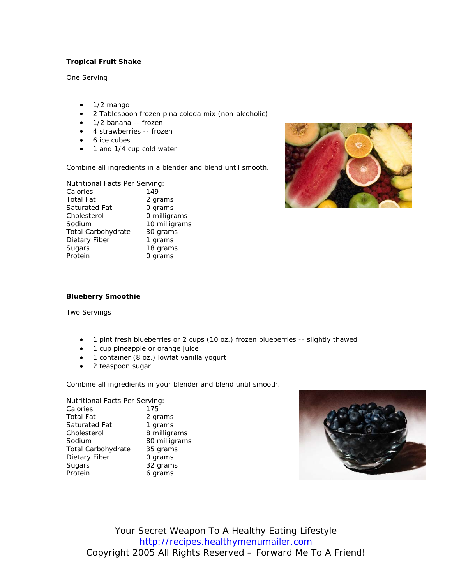#### **Tropical Fruit Shake**

One Serving

- 1/2 mango
- 2 Tablespoon frozen pina coloda mix (non-alcoholic)
- 1/2 banana -- frozen
- 4 strawberries -- frozen
- 6 ice cubes
- 1 and 1/4 cup cold water

Combine all ingredients in a blender and blend until smooth.

| Nutritional Facts Per Serving: |               |
|--------------------------------|---------------|
| Calories                       | 149           |
| <b>Total Fat</b>               | 2 grams       |
| Saturated Fat                  | 0 grams       |
| Cholesterol                    | 0 milligrams  |
| Sodium                         | 10 milligrams |
| <b>Total Carbohydrate</b>      | 30 grams      |
| Dietary Fiber                  | 1 grams       |
| Sugars                         | 18 grams      |
| Protein                        | 0 grams       |



#### **Blueberry Smoothie**

Two Servings

- 1 pint fresh blueberries or 2 cups (10 oz.) frozen blueberries -- slightly thawed
- 1 cup pineapple or orange juice
- 1 container (8 oz.) lowfat vanilla yogurt
- 2 teaspoon sugar

Combine all ingredients in your blender and blend until smooth.

Nutritional Facts Per Serving: Calories 175 Total Fat 2 grams Saturated Fat 1 grams Cholesterol 8 milligrams Sodium 80 milligrams Total Carbohydrate 35 grams Dietary Fiber 0 grams Sugars 32 grams Protein 6 grams

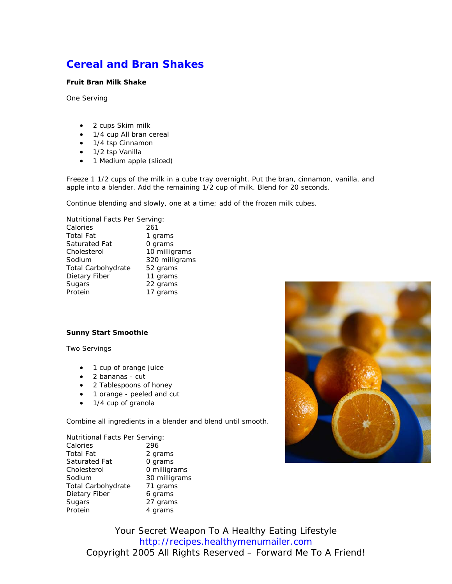## **Cereal and Bran Shakes**

#### **Fruit Bran Milk Shake**

One Serving

- 2 cups Skim milk
- 1/4 cup All bran cereal
- 1/4 tsp Cinnamon
- 1/2 tsp Vanilla
- 1 Medium apple (sliced)

Freeze 1 1/2 cups of the milk in a cube tray overnight. Put the bran, cinnamon, vanilla, and apple into a blender. Add the remaining 1/2 cup of milk. Blend for 20 seconds.

Continue blending and slowly, one at a time; add of the frozen milk cubes.

Nutritional Facts Per Serving: Calories 261 Total Fat 1 grams Saturated Fat 0 grams Cholesterol 10 milligrams Sodium 320 milligrams Total Carbohydrate 52 grams Dietary Fiber 11 grams Sugars 22 grams Protein 17 grams

#### **Sunny Start Smoothie**

Two Servings

- 1 cup of orange juice
- 2 bananas cut
- 2 Tablespoons of honey
- 1 orange peeled and cut
- 1/4 cup of granola

Combine all ingredients in a blender and blend until smooth.

| Nutritional Facts Per Serving: |               |
|--------------------------------|---------------|
| Calories                       | 296           |
| Total Fat                      | 2 grams       |
| Saturated Fat                  | 0 grams       |
| Cholesterol                    | 0 milligrams  |
| Sodium                         | 30 milligrams |
| Total Carbohydrate             | 71 grams      |
| Dietary Fiber                  | 6 grams       |
| Sugars                         | 27 grams      |
| Protein                        | 4 grams       |
|                                |               |

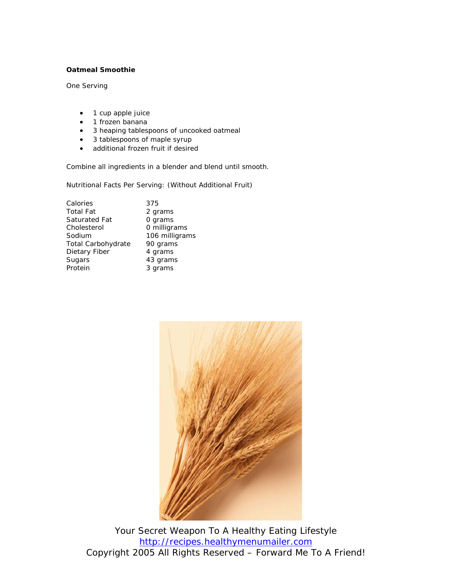#### **Oatmeal Smoothie**

One Serving

- 1 cup apple juice
- 1 frozen banana
- 3 heaping tablespoons of uncooked oatmeal
- 3 tablespoons of maple syrup
- additional frozen fruit if desired

Combine all ingredients in a blender and blend until smooth.

Nutritional Facts Per Serving: (Without Additional Fruit)

| Calories           | 375            |
|--------------------|----------------|
| Total Fat          | 2 grams        |
| Saturated Fat      | 0 grams        |
| Cholesterol        | 0 milligrams   |
| Sodium             | 106 milligrams |
| Total Carbohydrate | 90 grams       |
| Dietary Fiber      | 4 grams        |
| Sugars             | 43 grams       |
| Protein            | 3 grams        |
|                    |                |

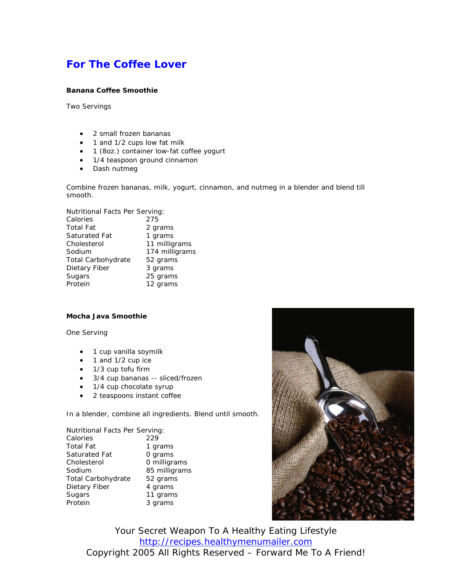## **For The Coffee Lover**

#### **Banana Coffee Smoothie**

Two Servings

- 2 small frozen bananas
- 1 and 1/2 cups low fat milk
- 1 (8oz.) container low-fat coffee yogurt
- 1/4 teaspoon ground cinnamon
- Dash nutmeg

Combine frozen bananas, milk, yogurt, cinnamon, and nutmeg in a blender and blend till smooth.

| Nutritional Facts Per Serving: |                |
|--------------------------------|----------------|
| Calories                       | 275            |
| <b>Total Fat</b>               | 2 grams        |
| Saturated Fat                  | 1 grams        |
| Cholesterol                    | 11 milligrams  |
| Sodium                         | 174 milligrams |
| Total Carbohydrate             | 52 grams       |
| Dietary Fiber                  | 3 grams        |
| Sugars                         | 25 grams       |
| Protein                        | 12 grams       |

#### **Mocha Java Smoothie**

One Serving

- 1 cup vanilla soymilk
- 1 and 1/2 cup ice
- 1/3 cup tofu firm
- 3/4 cup bananas -- sliced/frozen
- 1/4 cup chocolate syrup
- 2 teaspoons instant coffee

In a blender, combine all ingredients. Blend until smooth.

| Nutritional Facts Per Serving: |               |
|--------------------------------|---------------|
| Calories                       | 229           |
| <b>Total Fat</b>               | 1 grams       |
| Saturated Fat                  | 0 grams       |
| Cholesterol                    | 0 milligrams  |
| Sodium                         | 85 milligrams |
| Total Carbohydrate             | 52 grams      |
| Dietary Fiber                  | 4 grams       |
| Sugars                         | 11 grams      |
| Protein                        | 3 grams       |

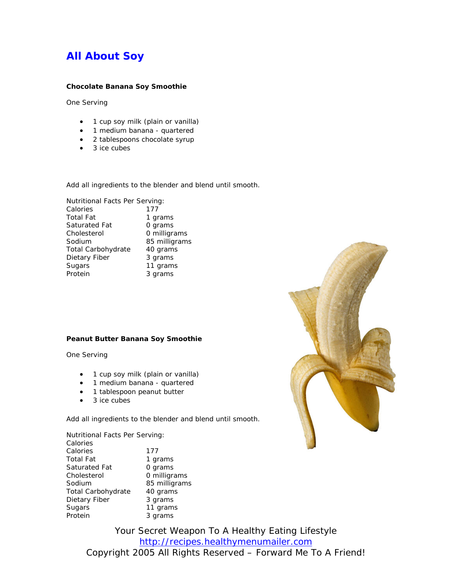## **All About Soy**

#### **Chocolate Banana Soy Smoothie**

One Serving

- 1 cup soy milk (plain or vanilla)
- 1 medium banana quartered
- 2 tablespoons chocolate syrup
- 3 ice cubes

Add all ingredients to the blender and blend until smooth.

| Nutritional Facts Per Serving: |               |
|--------------------------------|---------------|
| Calories                       | 177           |
| Total Fat                      | 1 grams       |
| Saturated Fat                  | 0 grams       |
| Cholesterol                    | 0 milligrams  |
| Sodium                         | 85 milligrams |
| Total Carbohydrate             | 40 grams      |
| Dietary Fiber                  | 3 grams       |
| Sugars                         | 11 grams      |
| Protein                        | 3 grams       |

#### **Peanut Butter Banana Soy Smoothie**

One Serving

- 1 cup soy milk (plain or vanilla)
- 1 medium banana quartered
- 1 tablespoon peanut butter
- 3 ice cubes

Add all ingredients to the blender and blend until smooth.

Nutritional Facts Per Serving: Calories Calories 177 Total Fat 1 grams Saturated Fat 0 grams Cholesterol 0 milligrams Sodium 85 milligrams Total Carbohydrate 40 grams Dietary Fiber 3 grams Sugars 11 grams Protein 3 grams

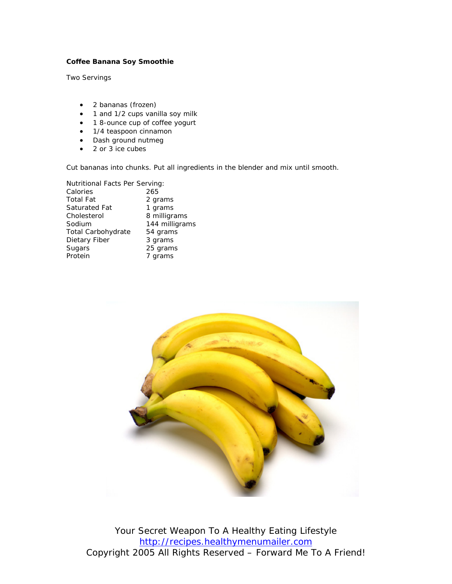#### **Coffee Banana Soy Smoothie**

Two Servings

- 2 bananas (frozen)
- 1 and 1/2 cups vanilla soy milk
- 1 8-ounce cup of coffee yogurt
- 1/4 teaspoon cinnamon
- Dash ground nutmeg
- 2 or 3 ice cubes

Cut bananas into chunks. Put all ingredients in the blender and mix until smooth.

| Nutritional Facts Per Serving: |                |
|--------------------------------|----------------|
| Calories                       | 265            |
| Total Fat                      | 2 grams        |
| Saturated Fat                  | 1 grams        |
| Cholesterol                    | 8 milligrams   |
| Sodium                         | 144 milligrams |
| Total Carbohydrate             | 54 grams       |
| Dietary Fiber                  | 3 grams        |
| Sugars                         | 25 grams       |
| Protein                        | 7 grams        |
|                                |                |

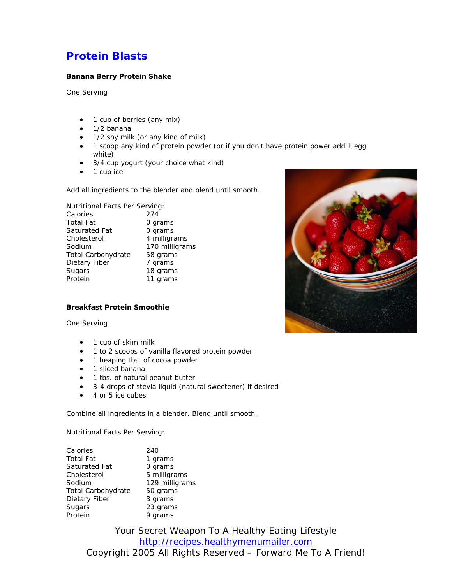## **Protein Blasts**

#### **Banana Berry Protein Shake**

One Serving

- 1 cup of berries (any mix)
- 1/2 banana
- 1/2 soy milk (or any kind of milk)
- 1 scoop any kind of protein powder (or if you don't have protein power add 1 egg white)
- 3/4 cup yogurt (your choice what kind)
- 1 cup ice

Add all ingredients to the blender and blend until smooth.

Nutritional Facts Per Serving: Calories 274 Total Fat **0 grams** Saturated Fat **0 grams** Cholesterol 4 milligrams Sodium 170 milligrams Total Carbohydrate 58 grams Dietary Fiber 7 grams Sugars 18 grams Protein 11 grams



One Serving

- 1 cup of skim milk
- 1 to 2 scoops of vanilla flavored protein powder
- 1 heaping tbs. of cocoa powder
- 1 sliced banana
- 1 tbs. of natural peanut butter
- 3-4 drops of stevia liquid (natural sweetener) if desired
- 4 or 5 ice cubes

Combine all ingredients in a blender. Blend until smooth.

Nutritional Facts Per Serving:

| Calories           | 240            |  |
|--------------------|----------------|--|
| Total Fat          | 1 grams        |  |
| Saturated Fat      | 0 grams        |  |
| Cholesterol        | 5 milligrams   |  |
| Sodium             | 129 milligrams |  |
| Total Carbohydrate | 50 grams       |  |
| Dietary Fiber      | 3 grams        |  |
| Sugars             | 23 grams       |  |
| Protein            | 9 grams        |  |

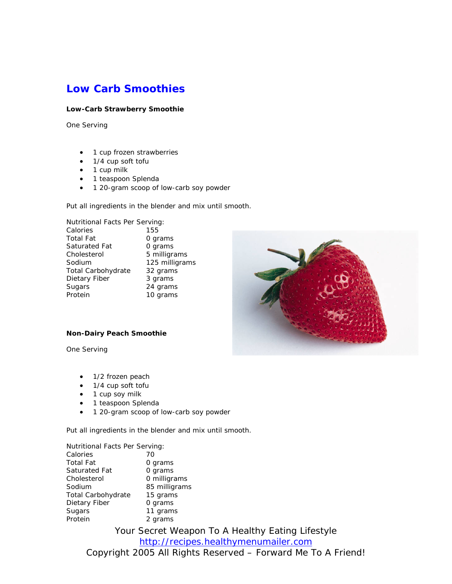## **Low Carb Smoothies**

#### **Low-Carb Strawberry Smoothie**

One Serving

- 1 cup frozen strawberries
- 1/4 cup soft tofu
- 1 cup milk
- 1 teaspoon Splenda
- 1 20-gram scoop of low-carb soy powder

Put all ingredients in the blender and mix until smooth.

| Nutritional Facts Per Serving: |                |
|--------------------------------|----------------|
| Calories<br>155                |                |
| Total Fat<br>0 grams           |                |
| 0 grams<br>Saturated Fat       |                |
| Cholesterol                    | 5 milligrams   |
| Sodium                         | 125 milligrams |
| Total Carbohydrate             | 32 grams       |
| Dietary Fiber<br>3 grams       |                |
| Sugars                         | 24 grams       |
| Protein                        | 10 grams       |



#### **Non-Dairy Peach Smoothie**

One Serving

- 1/2 frozen peach
- 1/4 cup soft tofu
- 1 cup soy milk
- 1 teaspoon Splenda
- 1 20-gram scoop of low-carb soy powder

Put all ingredients in the blender and mix until smooth.

Nutritional Facts Per Serving: Calories 70 Total Fat **0 grams** Saturated Fat 0 grams Cholesterol 0 milligrams Sodium 85 milligrams Total Carbohydrate 15 grams Dietary Fiber 0 grams<br>Sugars 11 grams Sugars 11 grams<br>Protein 2 grams 2 grams